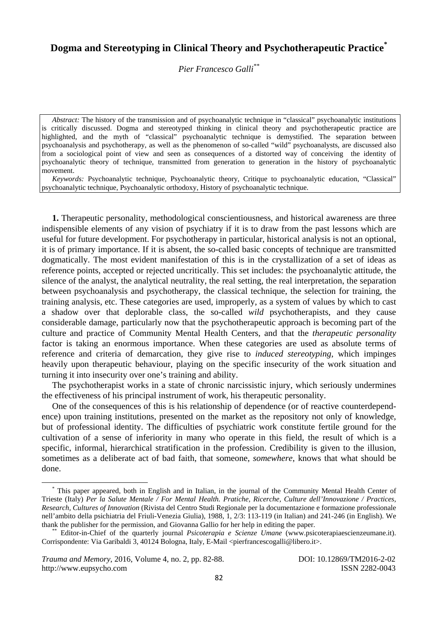## **Dogma and Stereotyping in Clinical Theory and Psychotherapeutic Practice\***

*Pier Francesco Galli\*\**

*Abstract:* The history of the transmission and of psychoanalytic technique in "classical" psychoanalytic institutions is critically discussed. Dogma and stereotyped thinking in clinical theory and psychotherapeutic practice are highlighted, and the myth of "classical" psychoanalytic technique is demystified. The separation between psychoanalysis and psychotherapy, as well as the phenomenon of so-called "wild" psychoanalysts, are discussed also from a sociological point of view and seen as consequences of a distorted way of conceiving the identity of psychoanalytic theory of technique, transmitted from generation to generation in the history of psychoanalytic movement.

*Keywords:* Psychoanalytic technique, Psychoanalytic theory, Critique to psychoanalytic education, "Classical" psychoanalytic technique, Psychoanalytic orthodoxy, History of psychoanalytic technique.

**1.** Therapeutic personality, methodological conscientiousness, and historical awareness are three indispensible elements of any vision of psychiatry if it is to draw from the past lessons which are useful for future development. For psychotherapy in particular, historical analysis is not an optional, it is of primary importance. If it is absent, the so-called basic concepts of technique are transmitted dogmatically. The most evident manifestation of this is in the crystallization of a set of ideas as reference points, accepted or rejected uncritically. This set includes: the psychoanalytic attitude, the silence of the analyst, the analytical neutrality, the real setting, the real interpretation, the separation between psychoanalysis and psychotherapy, the classical technique, the selection for training, the training analysis, etc. These categories are used, improperly, as a system of values by which to cast a shadow over that deplorable class, the so-called *wild* psychotherapists, and they cause considerable damage, particularly now that the psychotherapeutic approach is becoming part of the culture and practice of Community Mental Health Centers, and that the *therapeutic personality* factor is taking an enormous importance. When these categories are used as absolute terms of reference and criteria of demarcation, they give rise to *induced stereotyping*, which impinges heavily upon therapeutic behaviour, playing on the specific insecurity of the work situation and turning it into insecurity over one's training and ability.

The psychotherapist works in a state of chronic narcissistic injury, which seriously undermines the effectiveness of his principal instrument of work, his therapeutic personality.

One of the consequences of this is his relationship of dependence (or of reactive counterdependence) upon training institutions, presented on the market as the repository not only of knowledge, but of professional identity. The difficulties of psychiatric work constitute fertile ground for the cultivation of a sense of inferiority in many who operate in this field, the result of which is a specific, informal, hierarchical stratification in the profession. Credibility is given to the illusion, sometimes as a deliberate act of bad faith, that someone, *somewhere*, knows that what should be done.

 \* This paper appeared, both in English and in Italian, in the journal of the Community Mental Health Center of Trieste (Italy) *Per la Salute Mentale / For Mental Health. Pratiche, Ricerche, Culture dell'Innovazione / Practices, Research, Cultures of Innovation* (Rivista del Centro Studi Regionale per la documentazione e formazione professionale nell'ambito della psichiatria del Friuli-Venezia Giulia), 1988, 1, 2/3: 113-119 (in Italian) and 241-246 (in English). We thank the publisher for the permission, and Giovanna Gallio for her help in editing the paper. \*\* Editor-in-Chief of the quarterly journal *Psicoterapia e Scienze Umane* (www.psicoterapiaescienzeumane.it).

Corrispondente: Via Garibaldi 3, 40124 Bologna, Italy, E-Mail <pierfrancescogalli@libero.it>.

*Trauma and Memory*, 2016, Volume 4, no. 2, pp. 82-88. DOI: 10.12869/TM2016-2-02 http://www.eupsycho.com ISSN 2282-0043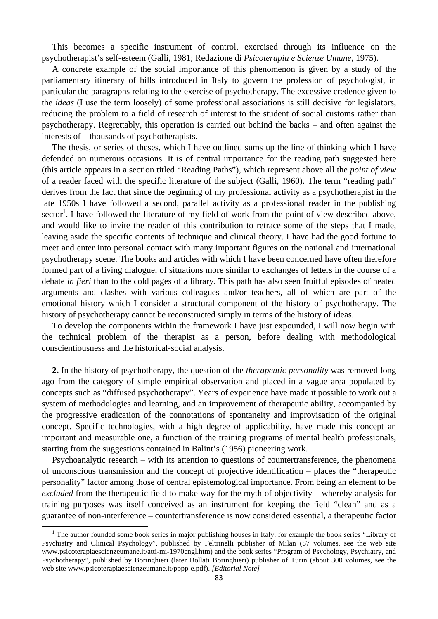This becomes a specific instrument of control, exercised through its influence on the psychotherapist's self-esteem (Galli, 1981; Redazione di *Psicoterapia e Scienze Umane*, 1975).

A concrete example of the social importance of this phenomenon is given by a study of the parliamentary itinerary of bills introduced in Italy to govern the profession of psychologist, in particular the paragraphs relating to the exercise of psychotherapy. The excessive credence given to the *ideas* (I use the term loosely) of some professional associations is still decisive for legislators, reducing the problem to a field of research of interest to the student of social customs rather than psychotherapy. Regrettably, this operation is carried out behind the backs – and often against the interests of – thousands of psychotherapists.

The thesis, or series of theses, which I have outlined sums up the line of thinking which I have defended on numerous occasions. It is of central importance for the reading path suggested here (this article appears in a section titled "Reading Paths"), which represent above all the *point of view* of a reader faced with the specific literature of the subject (Galli, 1960). The term "reading path" derives from the fact that since the beginning of my professional activity as a psychotherapist in the late 1950s I have followed a second, parallel activity as a professional reader in the publishing sector<sup>1</sup>. I have followed the literature of my field of work from the point of view described above, and would like to invite the reader of this contribution to retrace some of the steps that I made, leaving aside the specific contents of technique and clinical theory. I have had the good fortune to meet and enter into personal contact with many important figures on the national and international psychotherapy scene. The books and articles with which I have been concerned have often therefore formed part of a living dialogue, of situations more similar to exchanges of letters in the course of a debate *in fieri* than to the cold pages of a library. This path has also seen fruitful episodes of heated arguments and clashes with various colleagues and/or teachers, all of which are part of the emotional history which I consider a structural component of the history of psychotherapy. The history of psychotherapy cannot be reconstructed simply in terms of the history of ideas.

To develop the components within the framework I have just expounded, I will now begin with the technical problem of the therapist as a person, before dealing with methodological conscientiousness and the historical-social analysis.

**2.** In the history of psychotherapy, the question of the *therapeutic personality* was removed long ago from the category of simple empirical observation and placed in a vague area populated by concepts such as "diffused psychotherapy". Years of experience have made it possible to work out a system of methodologies and learning, and an improvement of therapeutic ability, accompanied by the progressive eradication of the connotations of spontaneity and improvisation of the original concept. Specific technologies, with a high degree of applicability, have made this concept an important and measurable one, a function of the training programs of mental health professionals, starting from the suggestions contained in Balint's (1956) pioneering work.

Psychoanalytic research – with its attention to questions of countertransference, the phenomena of unconscious transmission and the concept of projective identification – places the "therapeutic personality" factor among those of central epistemological importance. From being an element to be *excluded* from the therapeutic field to make way for the myth of objectivity – whereby analysis for training purposes was itself conceived as an instrument for keeping the field "clean" and as a guarantee of non-interference – countertransference is now considered essential, a therapeutic factor

<sup>&</sup>lt;sup>1</sup> The author founded some book series in major publishing houses in Italy, for example the book series "Library of Psychiatry and Clinical Psychology", published by Feltrinelli publisher of Milan (87 volumes, see the web site www.psicoterapiaescienzeumane.it/atti-mi-1970engl.htm) and the book series "Program of Psychology, Psychiatry, and Psychotherapy", published by Boringhieri (later Bollati Boringhieri) publisher of Turin (about 300 volumes, see the web site www.psicoterapiaescienzeumane.it/pppp-e.pdf). *[Editorial Note]*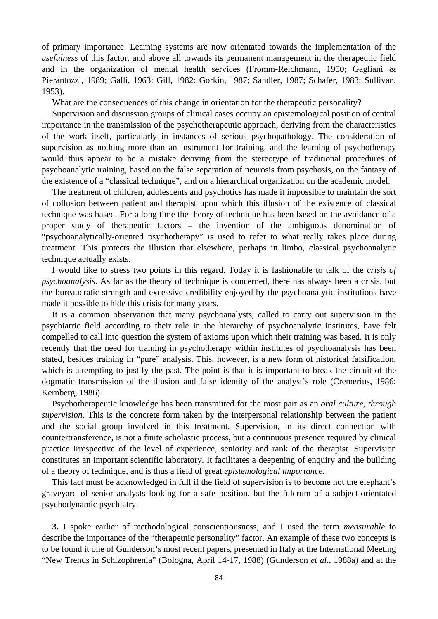of primary importance. Learning systems are now orientated towards the implementation of the *usefulness* of this factor, and above all towards its permanent management in the therapeutic field and in the organization of mental health services (Fromm-Reichmann, 1950; Gagliani & Pierantozzi, 1989; Galli, 1963: Gill, 1982: Gorkin, 1987; Sandler, 1987; Schafer, 1983; Sullivan, 1953).

What are the consequences of this change in orientation for the therapeutic personality?

Supervision and discussion groups of clinical cases occupy an epistemological position of central importance in the transmission of the psychotherapeutic approach, deriving from the characteristics of the work itself, particularly in instances of serious psychopathology. The consideration of supervision as nothing more than an instrument for training, and the learning of psychotherapy would thus appear to be a mistake deriving from the stereotype of traditional procedures of psychoanalytic training, based on the false separation of neurosis from psychosis, on the fantasy of the existence of a "classical technique", and on a hierarchical organization on the academic model.

The treatment of children, adolescents and psychotics has made it impossible to maintain the sort of collusion between patient and therapist upon which this illusion of the existence of classical technique was based. For a long time the theory of technique has been based on the avoidance of a proper study of therapeutic factors – the invention of the ambiguous denomination of "psychoanalytically-oriented psychotherapy" is used to refer to what really takes place during treatment. This protects the illusion that elsewhere, perhaps in limbo, classical psychoanalytic technique actually exists.

I would like to stress two points in this regard. Today it is fashionable to talk of the *crisis of psychoanalysis*. As far as the theory of technique is concerned, there has always been a crisis, but the bureaucratic strength and excessive credibility enjoyed by the psychoanalytic institutions have made it possible to hide this crisis for many years.

It is a common observation that many psychoanalysts, called to carry out supervision in the psychiatric field according to their role in the hierarchy of psychoanalytic institutes, have felt compelled to call into question the system of axioms upon which their training was based. It is only recently that the need for training in psychotherapy within institutes of psychoanalysis has been stated, besides training in "pure" analysis. This, however, is a new form of historical falsification, which is attempting to justify the past. The point is that it is important to break the circuit of the dogmatic transmission of the illusion and false identity of the analyst's role (Cremerius, 1986; Kernberg, 1986).

Psychotherapeutic knowledge has been transmitted for the most part as an *oral culture, through supervision*. This is the concrete form taken by the interpersonal relationship between the patient and the social group involved in this treatment. Supervision, in its direct connection with countertransference, is not a finite scholastic process, but a continuous presence required by clinical practice irrespective of the level of experience, seniority and rank of the therapist. Supervision constitutes an important scientific laboratory. It facilitates a deepening of enquiry and the building of a theory of technique, and is thus a field of great *epistemological importance*.

This fact must be acknowledged in full if the field of supervision is to become not the elephant's graveyard of senior analysts looking for a safe position, but the fulcrum of a subject-orientated psychodynamic psychiatry.

**3.** I spoke earlier of methodological conscientiousness, and I used the term *measurable* to describe the importance of the "therapeutic personality" factor. An example of these two concepts is to be found it one of Gunderson's most recent papers, presented in Italy at the International Meeting "New Trends in Schizophrenia" (Bologna, April 14-17, 1988) (Gunderson *et al*., 1988a) and at the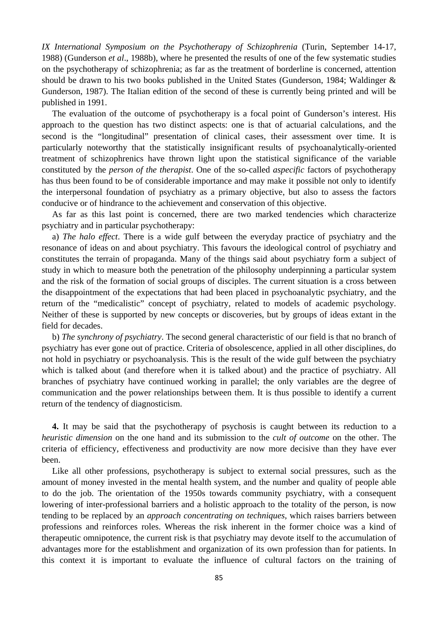*IX International Symposium on the Psychotherapy of Schizophrenia* (Turin, September 14-17, 1988) (Gunderson *et al*., 1988b), where he presented the results of one of the few systematic studies on the psychotherapy of schizophrenia; as far as the treatment of borderline is concerned, attention should be drawn to his two books published in the United States (Gunderson, 1984; Waldinger & Gunderson, 1987). The Italian edition of the second of these is currently being printed and will be published in 1991.

The evaluation of the outcome of psychotherapy is a focal point of Gunderson's interest. His approach to the question has two distinct aspects: one is that of actuarial calculations, and the second is the "longitudinal" presentation of clinical cases, their assessment over time. It is particularly noteworthy that the statistically insignificant results of psychoanalytically-oriented treatment of schizophrenics have thrown light upon the statistical significance of the variable constituted by the *person of the therapist*. One of the so-called *aspecific* factors of psychotherapy has thus been found to be of considerable importance and may make it possible not only to identify the interpersonal foundation of psychiatry as a primary objective, but also to assess the factors conducive or of hindrance to the achievement and conservation of this objective.

As far as this last point is concerned, there are two marked tendencies which characterize psychiatry and in particular psychotherapy:

a) *The halo effect*. There is a wide gulf between the everyday practice of psychiatry and the resonance of ideas on and about psychiatry. This favours the ideological control of psychiatry and constitutes the terrain of propaganda. Many of the things said about psychiatry form a subject of study in which to measure both the penetration of the philosophy underpinning a particular system and the risk of the formation of social groups of disciples. The current situation is a cross between the disappointment of the expectations that had been placed in psychoanalytic psychiatry, and the return of the "medicalistic" concept of psychiatry, related to models of academic psychology. Neither of these is supported by new concepts or discoveries, but by groups of ideas extant in the field for decades.

b) *The synchrony of psychiatry*. The second general characteristic of our field is that no branch of psychiatry has ever gone out of practice. Criteria of obsolescence, applied in all other disciplines, do not hold in psychiatry or psychoanalysis. This is the result of the wide gulf between the psychiatry which is talked about (and therefore when it is talked about) and the practice of psychiatry. All branches of psychiatry have continued working in parallel; the only variables are the degree of communication and the power relationships between them. It is thus possible to identify a current return of the tendency of diagnosticism.

**4.** It may be said that the psychotherapy of psychosis is caught between its reduction to a *heuristic dimension* on the one hand and its submission to the *cult of outcome* on the other. The criteria of efficiency, effectiveness and productivity are now more decisive than they have ever been.

Like all other professions, psychotherapy is subject to external social pressures, such as the amount of money invested in the mental health system, and the number and quality of people able to do the job. The orientation of the 1950s towards community psychiatry, with a consequent lowering of inter-professional barriers and a holistic approach to the totality of the person, is now tending to be replaced by an *approach concentrating on techniques*, which raises barriers between professions and reinforces roles. Whereas the risk inherent in the former choice was a kind of therapeutic omnipotence, the current risk is that psychiatry may devote itself to the accumulation of advantages more for the establishment and organization of its own profession than for patients. In this context it is important to evaluate the influence of cultural factors on the training of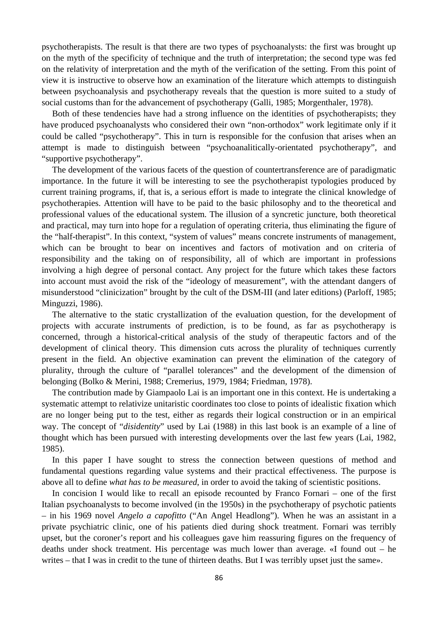psychotherapists. The result is that there are two types of psychoanalysts: the first was brought up on the myth of the specificity of technique and the truth of interpretation; the second type was fed on the relativity of interpretation and the myth of the verification of the setting. From this point of view it is instructive to observe how an examination of the literature which attempts to distinguish between psychoanalysis and psychotherapy reveals that the question is more suited to a study of social customs than for the advancement of psychotherapy (Galli, 1985; Morgenthaler, 1978).

Both of these tendencies have had a strong influence on the identities of psychotherapists; they have produced psychoanalysts who considered their own "non-orthodox" work legitimate only if it could be called "psychotherapy". This in turn is responsible for the confusion that arises when an attempt is made to distinguish between "psychoanalitically-orientated psychotherapy", and "supportive psychotherapy".

The development of the various facets of the question of countertransference are of paradigmatic importance. In the future it will be interesting to see the psychotherapist typologies produced by current training programs, if, that is, a serious effort is made to integrate the clinical knowledge of psychotherapies. Attention will have to be paid to the basic philosophy and to the theoretical and professional values of the educational system. The illusion of a syncretic juncture, both theoretical and practical, may turn into hope for a regulation of operating criteria, thus eliminating the figure of the "half-therapist". In this context, "system of values" means concrete instruments of management, which can be brought to bear on incentives and factors of motivation and on criteria of responsibility and the taking on of responsibility, all of which are important in professions involving a high degree of personal contact. Any project for the future which takes these factors into account must avoid the risk of the "ideology of measurement", with the attendant dangers of misunderstood "clinicization" brought by the cult of the DSM-III (and later editions) (Parloff, 1985; Minguzzi, 1986).

The alternative to the static crystallization of the evaluation question, for the development of projects with accurate instruments of prediction, is to be found, as far as psychotherapy is concerned, through a historical-critical analysis of the study of therapeutic factors and of the development of clinical theory. This dimension cuts across the plurality of techniques currently present in the field. An objective examination can prevent the elimination of the category of plurality, through the culture of "parallel tolerances" and the development of the dimension of belonging (Bolko & Merini, 1988; Cremerius, 1979, 1984; Friedman, 1978).

The contribution made by Giampaolo Lai is an important one in this context. He is undertaking a systematic attempt to relativize unitaristic coordinates too close to points of idealistic fixation which are no longer being put to the test, either as regards their logical construction or in an empirical way. The concept of "*disidentity*" used by Lai (1988) in this last book is an example of a line of thought which has been pursued with interesting developments over the last few years (Lai, 1982, 1985).

In this paper I have sought to stress the connection between questions of method and fundamental questions regarding value systems and their practical effectiveness. The purpose is above all to define *what has to be measured*, in order to avoid the taking of scientistic positions.

In concision I would like to recall an episode recounted by Franco Fornari – one of the first Italian psychoanalysts to become involved (in the 1950s) in the psychotherapy of psychotic patients – in his 1969 novel *Angelo a capofitto* ("An Angel Headlong"). When he was an assistant in a private psychiatric clinic, one of his patients died during shock treatment. Fornari was terribly upset, but the coroner's report and his colleagues gave him reassuring figures on the frequency of deaths under shock treatment. His percentage was much lower than average. «I found out – he writes – that I was in credit to the tune of thirteen deaths. But I was terribly upset just the same».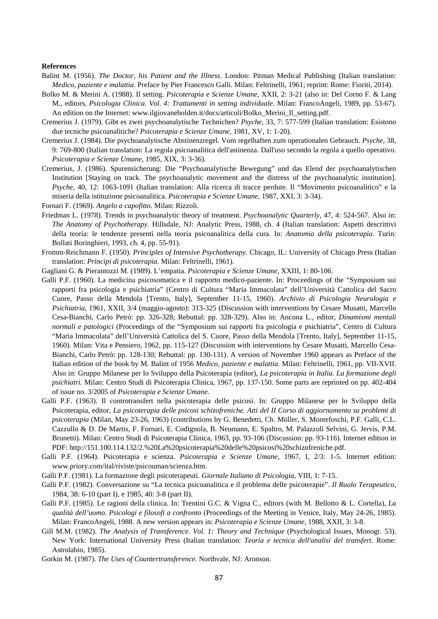## **References**

- Balint M. (1956). *The Doctor, his Patient and the Illness*. London: Pitman Medical Publishing (Italian translation: *Medico, paziente e malattia*. Preface by Pier Francesco Galli. Milan: Feltrinelli, 1961; reprint: Rome: Fioriti, 2014).
- Bolko M. & Merini A. (1988). Il setting. *Psicoterapia e Scienze Umane*, XXII, 2: 3-21 (also in: Del Corno F. & Lang M., editors, *Psicologia Clinica. Vol. 4: Trattamenti in setting individuale*. Milan: FrancoAngeli, 1989, pp. 53-67). An edition on the Internet: www.ilgiovaneholden.it/docs/articoli/Bolko\_Merini\_Il\_setting.pdf.
- Cremerius J. (1979). Gibt es zwei psychoanalytische Technichen? *Psyche*, 33, 7: 577-599 (Italian translation: Esistono due tecniche psicoanalitiche? *Psicoterapia e Scienze Umane*, 1981, XV, 1: 1-20).
- Cremerius J. (1984). Die psychoanalytische Abstinenzregel. Vom regelhaften zum operationalen Gebrauch. *Psyche*, 38, 9: 769-800 (Italian translation: La regola psicoanalitica dell'astinenza. Dall'uso secondo la regola a quello operativo. *Psicoterapia e Scienze Umane*, 1985, XIX, 3: 3-36).
- Cremerius, J. (1986). Spurensicherung: Die "Psychoanalytische Bewegung" und das Elend der psychoanalytischen Institution [Staying on track. The psychoanalytic movement and the distress of the psychoanalytic institution]. *Psyche*, 40, 12: 1063-1091 (Italian translation: Alla ricerca di tracce perdute. Il "Movimento psicoanalitico" e la miseria della istituzione psicoanalitica. *Psicoterapia e Scienze Umane*, 1987, XXI, 3: 3-34).
- Fornari F. (1969). *Angelo a capofitto*. Milan: Rizzoli.
- Friedman L. (1978). Trends in psychoanalytic theory of treatment. *Psychoanalytic Quarterly*, 47, 4: 524-567. Also in: *The Anatomy of Psychotherapy*. Hillsdale, NJ: Analytic Press, 1988, ch. 4 (Italian translation: Aspetti descrittivi della teoria: le tendenze presenti nella teoria psicoanalitica della cura. In: *Anatomia della psicoterapia*. Turin: Bollati Boringhieri, 1993, ch. 4, pp. 55-91).
- Fromm-Reichmann F. (1950). *Principles of Intensive Psychotherapy*. Chicago, IL: University of Chicago Press (Italian translation: *Princìpi di psicoterapia*. Milan: Feltrinelli, 1961).
- Gagliani G. & Pierantozzi M. (1989). L'empatia. *Psicoterapia e Scienze Umane*, XXIII, 1: 80-106.
- Galli P.F. (1960). La medicina psicosomatica e il rapporto medico-paziente. In: Proceedings of the "Symposium sui rapporti fra psicologia e psichiatria" (Centro di Cultura "Maria Immacolata" dell'Università Cattolica del Sacro Cuore, Passo della Mendola [Trento, Italy], September 11-15, 1960). *Archivio di Psicologia Neurologia e Psichiatria*, 1961, XXII, 3/4 (maggio-agosto): 313-325 (Discussion with interventions by Cesare Musatti, Marcello Cesa-Bianchi, Carlo Petrò: pp. 326-328; Rebuttal: pp. 328-329). Also in: Ancona L., editor, *Dinamismi mentali normali e patologici* (Proceedings of the "Symposium sui rapporti fra psicologia e psichiatria", Centro di Cultura "Maria Immacolata" dell'Università Cattolica del S. Cuore, Passo della Mendola [Trento, Italy], September 11-15, 1960). Milan: Vita e Pensiero, 1962, pp. 115-127 (Discussion with interventions by Cesare Musatti, Marcello Cesa-Bianchi, Carlo Petrò: pp. 128-130; Rebuttal: pp. 130-131). A version of November 1960 appears as Preface of the Italian edition of the book by M. Balint of 1956 *Medico, paziente e malattia*. Milan: Feltrinelli, 1961, pp. VII-XVII. Also in: Gruppo Milanese per lo Sviluppo della Psicoterapia (editor), *La psicoterapia in Italia. La formazione degli psichiatri.* Milan: Centro Studi di Psicoterapia Clinica, 1967, pp. 137-150. Some parts are reprinted on pp. 402-404 of issue no. 3/2005 of *Psicoterapia e Scienze Umane.*
- Galli P.F. (1963). Il controtransfert nella psicoterapia delle psicosi. In: Gruppo Milanese per lo Sviluppo della Psicoterapia, editor, *La psicoterapia delle psicosi schizofreniche. Atti del II Corso di aggiornamento su problemi di psicoterapia* (Milan, May 23-26, 1963) (contributions by G. Benedetti, Ch. Müller, S. Montefoschi, P.F. Galli, C.L. Cazzullo & D. De Martis, F. Fornari, E. Codignola, B. Neumann, E. Spaltro, M. Palazzoli Selvini, G. Jervis, P.M. Brunetti). Milan: Centro Studi di Psicoterapia Clinica, 1963, pp. 93-106 (Discussion: pp. 93-116). Internet edition in PDF: http://151.100.114.132/2.%20La%20psicoterapia%20delle%20psicosi%20schizofreniche.pdf.
- Galli P.F. (1964). Psicoterapia e scienza. *Psicoterapia e Scienze Umane*, 1967, I, 2/3: 1-5. Internet edition: www.priory.com/ital/riviste/psicouman/scienza.htm.
- Galli P.F. (1981). La formazione degli psicoterapeuti. *Giornale Italiano di Psicologia*, VIII, 1: 7-15.
- Galli P.F. (1982). Conversazione su "La tecnica psicoanalitica e il problema delle psicoterapie". *Il Ruolo Terapeutico*, 1984, 38: 6-10 (part I), e 1985, 40: 3-8 (part II).
- Galli P.F. (1985). Le ragioni della clinica. In: Trentini G.C. & Vigna C., editors (with M. Bellotto & L. Cortella), *La qualità dell'uomo. Psicologi e filosofi a confronto* (Proceedings of the Meeting in Venice, Italy, May 24-26, 1985). Milan: FrancoAngeli, 1988. A new version appears in: *Psicoterapia e Scienze Umane*, 1988, XXII, 3: 3-8.
- Gill M.M. (1982). *The Analysis of Transference. Vol. 1: Theory and Technique* (Psychological Issues, Monogr. 53). New York: International University Press (Italian translation: *Teoria e tecnica dell'analisi del transfert*. Rome: Astrolabio, 1985).
- Gorkin M. (1987). *The Uses of Countertransference*. Northvale, NJ: Aronson.